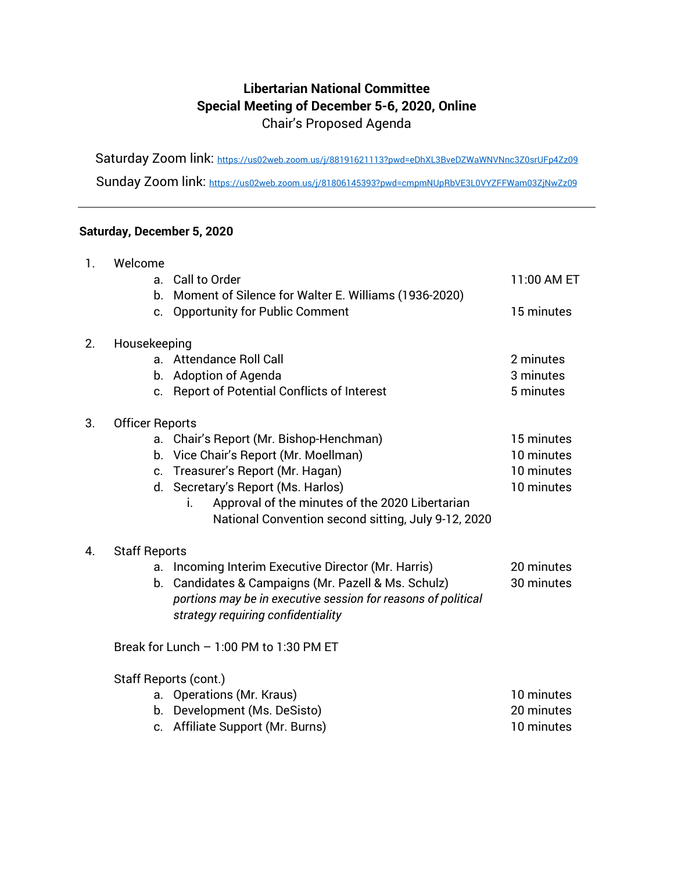## **Libertarian National Committee Special Meeting of December 5-6, 2020, Online** Chair's Proposed Agenda

Saturday Zoom link:<https://us02web.zoom.us/j/88191621113?pwd=eDhXL3BveDZWaWNVNnc3Z0srUFp4Zz09>

Sunday Zoom link:<https://us02web.zoom.us/j/81806145393?pwd=cmpmNUpRbVE3L0VYZFFWam03ZjNwZz09>

## **Saturday, December 5, 2020**

| $\mathbf{1}$ . | Welcome<br>a.<br>b.              | Call to Order<br>Moment of Silence for Walter E. Williams (1936-2020)<br>c. Opportunity for Public Comment                                                                                                                                                                  | 11:00 AM ET<br>15 minutes                            |
|----------------|----------------------------------|-----------------------------------------------------------------------------------------------------------------------------------------------------------------------------------------------------------------------------------------------------------------------------|------------------------------------------------------|
| 2.             | Housekeeping<br>$a_{-}$          | <b>Attendance Roll Call</b><br>b. Adoption of Agenda<br>c. Report of Potential Conflicts of Interest                                                                                                                                                                        | 2 minutes<br>3 minutes<br>5 minutes                  |
| 3.             | <b>Officer Reports</b>           | a. Chair's Report (Mr. Bishop-Henchman)<br>b. Vice Chair's Report (Mr. Moellman)<br>c. Treasurer's Report (Mr. Hagan)<br>d. Secretary's Report (Ms. Harlos)<br>Approval of the minutes of the 2020 Libertarian<br>Ť.<br>National Convention second sitting, July 9-12, 2020 | 15 minutes<br>10 minutes<br>10 minutes<br>10 minutes |
| 4.             | <b>Staff Reports</b><br>a.<br>b. | Incoming Interim Executive Director (Mr. Harris)<br>Candidates & Campaigns (Mr. Pazell & Ms. Schulz)<br>portions may be in executive session for reasons of political<br>strategy requiring confidentiality<br>Break for Lunch $-1:00$ PM to $1:30$ PM ET                   | 20 minutes<br>30 minutes                             |
|                | a.                               | Staff Reports (cont.)<br>Operations (Mr. Kraus)<br>b. Development (Ms. DeSisto)<br>c. Affiliate Support (Mr. Burns)                                                                                                                                                         | 10 minutes<br>20 minutes<br>10 minutes               |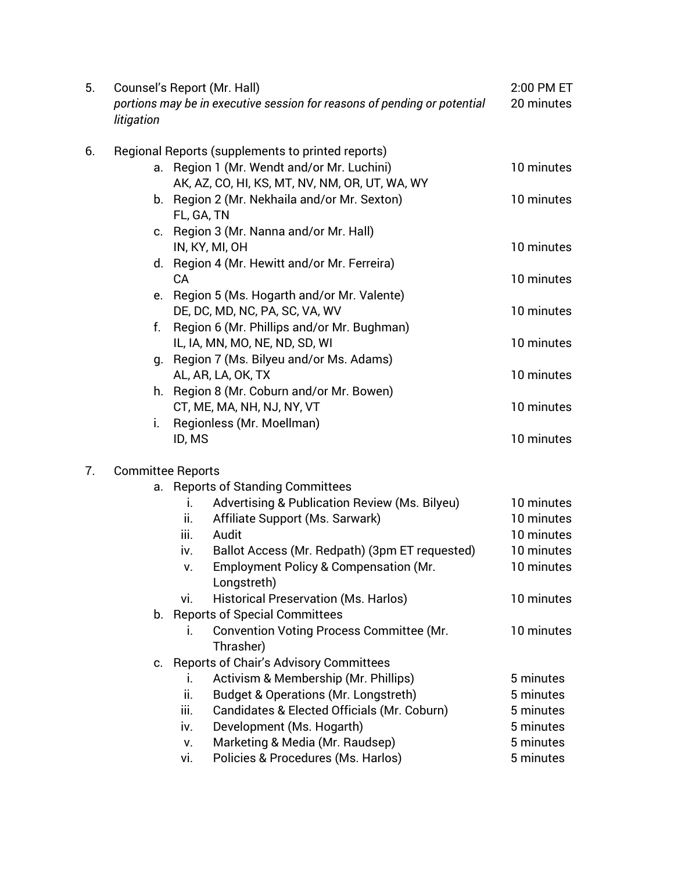| Regional Reports (supplements to printed reports)<br>6.<br>a. Region 1 (Mr. Wendt and/or Mr. Luchini)<br>10 minutes<br>AK, AZ, CO, HI, KS, MT, NV, NM, OR, UT, WA, WY<br>b. Region 2 (Mr. Nekhaila and/or Mr. Sexton)<br>10 minutes<br>FL, GA, TN<br>c. Region 3 (Mr. Nanna and/or Mr. Hall)<br>IN, KY, MI, OH<br>10 minutes<br>d. Region 4 (Mr. Hewitt and/or Mr. Ferreira)<br>10 minutes<br>CA<br>Region 5 (Ms. Hogarth and/or Mr. Valente)<br>e.<br>DE, DC, MD, NC, PA, SC, VA, WV<br>10 minutes<br>Region 6 (Mr. Phillips and/or Mr. Bughman)<br>f.<br>IL, IA, MN, MO, NE, ND, SD, WI<br>10 minutes<br>g. Region 7 (Ms. Bilyeu and/or Ms. Adams)<br>AL, AR, LA, OK, TX<br>10 minutes<br>h. Region 8 (Mr. Coburn and/or Mr. Bowen)<br>CT, ME, MA, NH, NJ, NY, VT<br>10 minutes<br>Regionless (Mr. Moellman)<br>i.<br>10 minutes<br>ID, MS<br><b>Committee Reports</b><br>7.<br>a. Reports of Standing Committees<br>Advertising & Publication Review (Ms. Bilyeu)<br>10 minutes<br>i. | 5. | litigation | Counsel's Report (Mr. Hall)<br>portions may be in executive session for reasons of pending or potential | 2:00 PM ET<br>20 minutes |
|------------------------------------------------------------------------------------------------------------------------------------------------------------------------------------------------------------------------------------------------------------------------------------------------------------------------------------------------------------------------------------------------------------------------------------------------------------------------------------------------------------------------------------------------------------------------------------------------------------------------------------------------------------------------------------------------------------------------------------------------------------------------------------------------------------------------------------------------------------------------------------------------------------------------------------------------------------------------------------------|----|------------|---------------------------------------------------------------------------------------------------------|--------------------------|
|                                                                                                                                                                                                                                                                                                                                                                                                                                                                                                                                                                                                                                                                                                                                                                                                                                                                                                                                                                                          |    |            |                                                                                                         |                          |
|                                                                                                                                                                                                                                                                                                                                                                                                                                                                                                                                                                                                                                                                                                                                                                                                                                                                                                                                                                                          |    |            |                                                                                                         |                          |
|                                                                                                                                                                                                                                                                                                                                                                                                                                                                                                                                                                                                                                                                                                                                                                                                                                                                                                                                                                                          |    |            |                                                                                                         |                          |
|                                                                                                                                                                                                                                                                                                                                                                                                                                                                                                                                                                                                                                                                                                                                                                                                                                                                                                                                                                                          |    |            |                                                                                                         |                          |
|                                                                                                                                                                                                                                                                                                                                                                                                                                                                                                                                                                                                                                                                                                                                                                                                                                                                                                                                                                                          |    |            |                                                                                                         |                          |
|                                                                                                                                                                                                                                                                                                                                                                                                                                                                                                                                                                                                                                                                                                                                                                                                                                                                                                                                                                                          |    |            |                                                                                                         |                          |
|                                                                                                                                                                                                                                                                                                                                                                                                                                                                                                                                                                                                                                                                                                                                                                                                                                                                                                                                                                                          |    |            |                                                                                                         |                          |
|                                                                                                                                                                                                                                                                                                                                                                                                                                                                                                                                                                                                                                                                                                                                                                                                                                                                                                                                                                                          |    |            |                                                                                                         |                          |
|                                                                                                                                                                                                                                                                                                                                                                                                                                                                                                                                                                                                                                                                                                                                                                                                                                                                                                                                                                                          |    |            |                                                                                                         |                          |
|                                                                                                                                                                                                                                                                                                                                                                                                                                                                                                                                                                                                                                                                                                                                                                                                                                                                                                                                                                                          |    |            |                                                                                                         |                          |
|                                                                                                                                                                                                                                                                                                                                                                                                                                                                                                                                                                                                                                                                                                                                                                                                                                                                                                                                                                                          |    |            |                                                                                                         |                          |
|                                                                                                                                                                                                                                                                                                                                                                                                                                                                                                                                                                                                                                                                                                                                                                                                                                                                                                                                                                                          |    |            |                                                                                                         |                          |
|                                                                                                                                                                                                                                                                                                                                                                                                                                                                                                                                                                                                                                                                                                                                                                                                                                                                                                                                                                                          |    |            |                                                                                                         |                          |
|                                                                                                                                                                                                                                                                                                                                                                                                                                                                                                                                                                                                                                                                                                                                                                                                                                                                                                                                                                                          |    |            |                                                                                                         |                          |
|                                                                                                                                                                                                                                                                                                                                                                                                                                                                                                                                                                                                                                                                                                                                                                                                                                                                                                                                                                                          |    |            |                                                                                                         |                          |
|                                                                                                                                                                                                                                                                                                                                                                                                                                                                                                                                                                                                                                                                                                                                                                                                                                                                                                                                                                                          |    |            |                                                                                                         |                          |
|                                                                                                                                                                                                                                                                                                                                                                                                                                                                                                                                                                                                                                                                                                                                                                                                                                                                                                                                                                                          |    |            |                                                                                                         |                          |
|                                                                                                                                                                                                                                                                                                                                                                                                                                                                                                                                                                                                                                                                                                                                                                                                                                                                                                                                                                                          |    |            |                                                                                                         |                          |
|                                                                                                                                                                                                                                                                                                                                                                                                                                                                                                                                                                                                                                                                                                                                                                                                                                                                                                                                                                                          |    |            |                                                                                                         |                          |
|                                                                                                                                                                                                                                                                                                                                                                                                                                                                                                                                                                                                                                                                                                                                                                                                                                                                                                                                                                                          |    |            |                                                                                                         |                          |
| Affiliate Support (Ms. Sarwark)<br>10 minutes<br>ii.                                                                                                                                                                                                                                                                                                                                                                                                                                                                                                                                                                                                                                                                                                                                                                                                                                                                                                                                     |    |            |                                                                                                         |                          |
| 10 minutes<br>iii.<br>Audit                                                                                                                                                                                                                                                                                                                                                                                                                                                                                                                                                                                                                                                                                                                                                                                                                                                                                                                                                              |    |            |                                                                                                         |                          |
| Ballot Access (Mr. Redpath) (3pm ET requested)<br>10 minutes<br>iv.                                                                                                                                                                                                                                                                                                                                                                                                                                                                                                                                                                                                                                                                                                                                                                                                                                                                                                                      |    |            |                                                                                                         |                          |
| Employment Policy & Compensation (Mr.<br>10 minutes<br>v.                                                                                                                                                                                                                                                                                                                                                                                                                                                                                                                                                                                                                                                                                                                                                                                                                                                                                                                                |    |            |                                                                                                         |                          |
| Longstreth)                                                                                                                                                                                                                                                                                                                                                                                                                                                                                                                                                                                                                                                                                                                                                                                                                                                                                                                                                                              |    |            |                                                                                                         |                          |
| <b>Historical Preservation (Ms. Harlos)</b><br>vi.                                                                                                                                                                                                                                                                                                                                                                                                                                                                                                                                                                                                                                                                                                                                                                                                                                                                                                                                       |    |            |                                                                                                         | 10 minutes               |
| b. Reports of Special Committees                                                                                                                                                                                                                                                                                                                                                                                                                                                                                                                                                                                                                                                                                                                                                                                                                                                                                                                                                         |    |            |                                                                                                         |                          |
| <b>Convention Voting Process Committee (Mr.</b><br>10 minutes<br>İ.<br>Thrasher)                                                                                                                                                                                                                                                                                                                                                                                                                                                                                                                                                                                                                                                                                                                                                                                                                                                                                                         |    |            |                                                                                                         |                          |
| <b>Reports of Chair's Advisory Committees</b><br>C.                                                                                                                                                                                                                                                                                                                                                                                                                                                                                                                                                                                                                                                                                                                                                                                                                                                                                                                                      |    |            |                                                                                                         |                          |
| Activism & Membership (Mr. Phillips)<br>5 minutes<br>Τ.                                                                                                                                                                                                                                                                                                                                                                                                                                                                                                                                                                                                                                                                                                                                                                                                                                                                                                                                  |    |            |                                                                                                         |                          |
| ii.<br><b>Budget &amp; Operations (Mr. Longstreth)</b><br>5 minutes                                                                                                                                                                                                                                                                                                                                                                                                                                                                                                                                                                                                                                                                                                                                                                                                                                                                                                                      |    |            |                                                                                                         |                          |
| iii.<br>Candidates & Elected Officials (Mr. Coburn)<br>5 minutes                                                                                                                                                                                                                                                                                                                                                                                                                                                                                                                                                                                                                                                                                                                                                                                                                                                                                                                         |    |            |                                                                                                         |                          |
| Development (Ms. Hogarth)<br>5 minutes<br>iv.                                                                                                                                                                                                                                                                                                                                                                                                                                                                                                                                                                                                                                                                                                                                                                                                                                                                                                                                            |    |            |                                                                                                         |                          |
| Marketing & Media (Mr. Raudsep)<br>5 minutes<br>v.                                                                                                                                                                                                                                                                                                                                                                                                                                                                                                                                                                                                                                                                                                                                                                                                                                                                                                                                       |    |            |                                                                                                         |                          |
| Policies & Procedures (Ms. Harlos)<br>5 minutes<br>vi.                                                                                                                                                                                                                                                                                                                                                                                                                                                                                                                                                                                                                                                                                                                                                                                                                                                                                                                                   |    |            |                                                                                                         |                          |